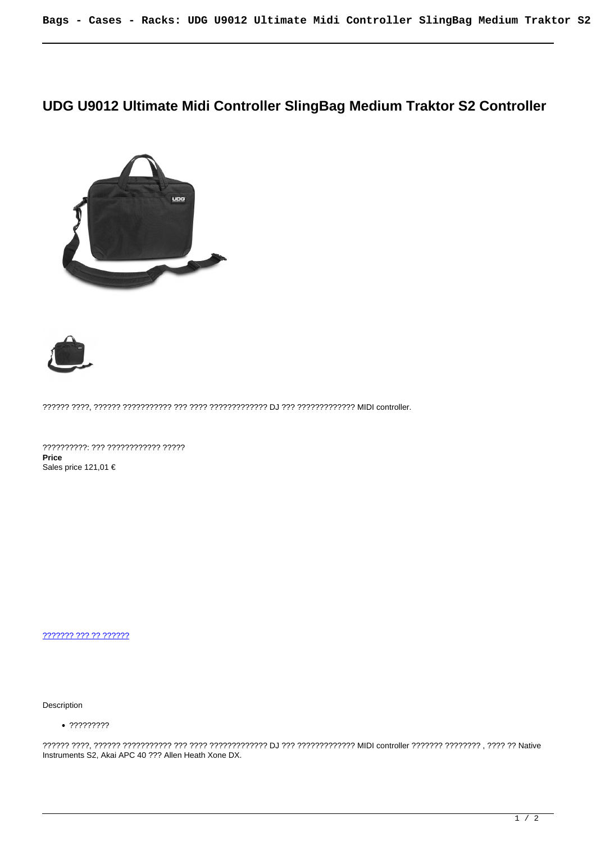## **UDG U9012 Ultimate Midi Controller SlingBag Medium Traktor S2 Controller**





?????? ????, ?????? ??????????? ??? ???? ????????????? DJ ??? ????????????? MIDI controller.

??????????: ??? ???????????? ????? **Price**  Sales price 121,01 €

[??????? ??? ?? ??????](https://audiohouse.gr/index.php?option=com_virtuemart&view=productdetails&task=askquestion&virtuemart_product_id=118&virtuemart_category_id=14&tmpl=component)

Description

?????????

?????? ????, ?????? ??????????? ??? ???? ????????????? DJ ??? ????????????? MIDI controller ??????? ???????? , ???? ?? Native Instruments S2, Akai APC 40 ??? Allen Heath Xone DX.